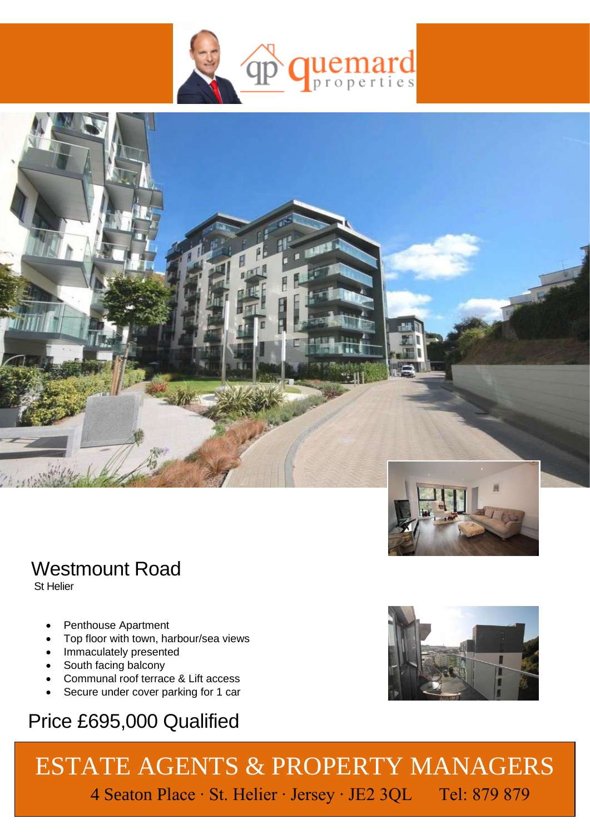



## Westmount Road

St Helier

- Penthouse Apartment
- Top floor with town, harbour/sea views
- Immaculately presented
- South facing balcony
- Communal roof terrace & Lift access
- Secure under cover parking for 1 car

## Price £695,000 Qualified

 ESTATE AGENTS & PROPERTY MANAGERS 4 Seaton Place ∙ St. Helier ∙ Jersey ∙ JE2 3QL Tel: 879 879